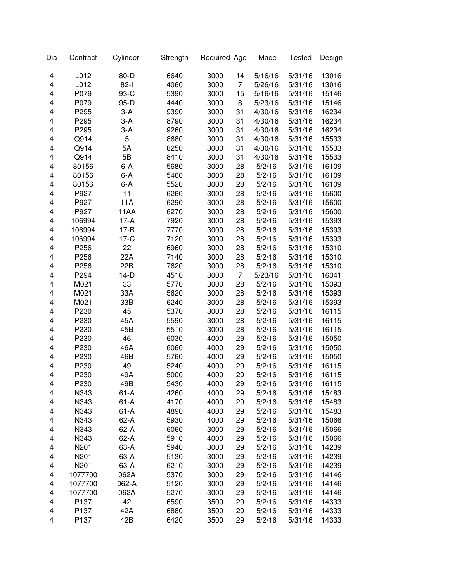| Dia | Contract | Cylinder    | Strength | Required Age |                | Made    | <b>Tested</b> | Design |
|-----|----------|-------------|----------|--------------|----------------|---------|---------------|--------|
| 4   | L012     | 80-D        | 6640     | 3000         | 14             | 5/16/16 | 5/31/16       | 13016  |
| 4   | L012     | $82-1$      | 4060     | 3000         | $\overline{7}$ | 5/26/16 | 5/31/16       | 13016  |
| 4   | P079     | 93-C        | 5390     | 3000         | 15             | 5/16/16 | 5/31/16       | 15146  |
| 4   | P079     | 95-D        | 4440     | 3000         | 8              | 5/23/16 | 5/31/16       | 15146  |
| 4   | P295     | $3-A$       | 9390     | 3000         | 31             | 4/30/16 | 5/31/16       | 16234  |
| 4   | P295     | $3-A$       | 8790     | 3000         | 31             | 4/30/16 | 5/31/16       | 16234  |
| 4   | P295     | $3-A$       | 9260     | 3000         | 31             | 4/30/16 | 5/31/16       | 16234  |
| 4   | Q914     | 5           | 8680     | 3000         | 31             | 4/30/16 | 5/31/16       | 15533  |
| 4   | Q914     | 5A          | 8250     | 3000         | 31             | 4/30/16 | 5/31/16       | 15533  |
| 4   | Q914     | 5B          | 8410     | 3000         | 31             | 4/30/16 | 5/31/16       | 15533  |
| 4   | 80156    | $6 - A$     | 5680     | 3000         | 28             | 5/2/16  | 5/31/16       | 16109  |
| 4   | 80156    | $6 - A$     | 5460     | 3000         | 28             | 5/2/16  | 5/31/16       | 16109  |
| 4   | 80156    | $6 - A$     | 5520     | 3000         | 28             | 5/2/16  | 5/31/16       | 16109  |
| 4   | P927     | 11          | 6260     | 3000         | 28             | 5/2/16  | 5/31/16       | 15600  |
| 4   | P927     | 11A         | 6290     | 3000         | 28             | 5/2/16  | 5/31/16       | 15600  |
| 4   | P927     | <b>11AA</b> | 6270     | 3000         | 28             | 5/2/16  | 5/31/16       | 15600  |
| 4   | 106994   | $17-A$      | 7920     | 3000         | 28             | 5/2/16  | 5/31/16       | 15393  |
| 4   | 106994   | $17 - B$    | 7770     | 3000         | 28             | 5/2/16  | 5/31/16       | 15393  |
| 4   | 106994   | $17-C$      | 7120     | 3000         | 28             | 5/2/16  | 5/31/16       | 15393  |
| 4   | P256     | 22          | 6960     | 3000         | 28             | 5/2/16  | 5/31/16       | 15310  |
| 4   | P256     | 22A         | 7140     | 3000         | 28             | 5/2/16  | 5/31/16       | 15310  |
| 4   | P256     | 22B         | 7620     | 3000         | 28             | 5/2/16  | 5/31/16       | 15310  |
| 4   | P294     | $14-D$      | 4510     | 3000         | $\overline{7}$ | 5/23/16 | 5/31/16       | 16341  |
| 4   | M021     | 33          | 5770     | 3000         | 28             | 5/2/16  | 5/31/16       | 15393  |
| 4   | M021     | 33A         | 5620     | 3000         | 28             | 5/2/16  | 5/31/16       | 15393  |
| 4   | M021     | 33B         | 6240     | 3000         | 28             | 5/2/16  | 5/31/16       | 15393  |
| 4   | P230     | 45          | 5370     | 3000         | 28             | 5/2/16  | 5/31/16       | 16115  |
| 4   | P230     | 45A         | 5590     | 3000         | 28             | 5/2/16  | 5/31/16       | 16115  |
| 4   | P230     | 45B         | 5510     | 3000         | 28             | 5/2/16  | 5/31/16       | 16115  |
| 4   | P230     | 46          | 6030     | 4000         | 29             | 5/2/16  | 5/31/16       | 15050  |
| 4   | P230     | 46A         | 6060     | 4000         | 29             | 5/2/16  | 5/31/16       | 15050  |
| 4   | P230     | 46B         | 5760     | 4000         | 29             | 5/2/16  | 5/31/16       | 15050  |
| 4   | P230     | 49          | 5240     | 4000         | 29             | 5/2/16  | 5/31/16       | 16115  |
| 4   | P230     | 49A         | 5000     | 4000         | 29             | 5/2/16  | 5/31/16       | 16115  |
| 4   | P230     | 49B         | 5430     | 4000         | 29             | 5/2/16  | 5/31/16       | 16115  |
| 4   | N343     | $61-A$      | 4260     | 4000         | 29             | 5/2/16  | 5/31/16       | 15483  |
| 4   | N343     | $61-A$      | 4170     | 4000         | 29             | 5/2/16  | 5/31/16       | 15483  |
| 4   | N343     | $61-A$      | 4890     | 4000         | 29             | 5/2/16  | 5/31/16       | 15483  |
| 4   | N343     | 62-A        | 5930     | 4000         | 29             | 5/2/16  | 5/31/16       | 15066  |
| 4   | N343     | 62-A        | 6060     | 3000         | 29             | 5/2/16  | 5/31/16       | 15066  |
| 4   | N343     | 62-A        | 5910     | 4000         | 29             | 5/2/16  | 5/31/16       | 15066  |
| 4   | N201     | 63-A        | 5940     | 3000         | 29             | 5/2/16  | 5/31/16       | 14239  |
| 4   | N201     | 63-A        | 5130     | 3000         | 29             | 5/2/16  | 5/31/16       | 14239  |
| 4   | N201     | 63-A        | 6210     | 3000         | 29             | 5/2/16  | 5/31/16       | 14239  |
| 4   | 1077700  | 062A        | 5370     | 3000         | 29             | 5/2/16  | 5/31/16       | 14146  |
| 4   | 1077700  | 062-A       | 5120     | 3000         | 29             | 5/2/16  | 5/31/16       | 14146  |
| 4   | 1077700  | 062A        | 5270     | 3000         | 29             | 5/2/16  | 5/31/16       | 14146  |
| 4   | P137     | 42          | 6590     | 3500         | 29             | 5/2/16  | 5/31/16       | 14333  |
| 4   | P137     | 42A         | 6880     | 3500         | 29             | 5/2/16  | 5/31/16       | 14333  |
| 4   | P137     | 42B         | 6420     | 3500         | 29             | 5/2/16  | 5/31/16       | 14333  |
|     |          |             |          |              |                |         |               |        |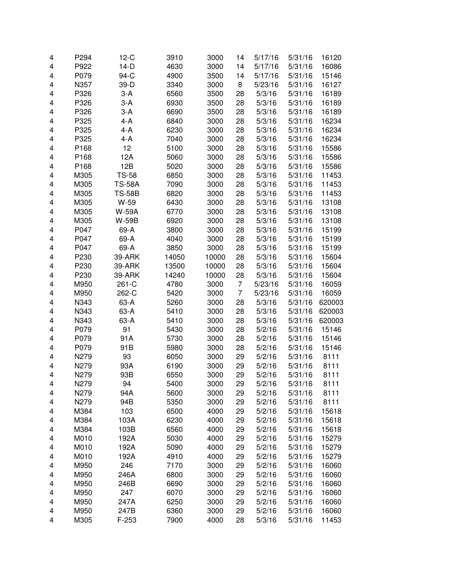| 4 | P294 | $12-C$        | 3910  | 3000  | 14             | 5/17/16 | 5/31/16 | 16120  |
|---|------|---------------|-------|-------|----------------|---------|---------|--------|
|   |      | $14-D$        |       |       |                |         |         |        |
| 4 | P922 |               | 4630  | 3000  | 14             | 5/17/16 | 5/31/16 | 16086  |
| 4 | P079 | 94-C          | 4900  | 3500  | 14             | 5/17/16 | 5/31/16 | 15146  |
| 4 | N357 | 39-D          | 3340  | 3000  | 8              | 5/23/16 | 5/31/16 | 16127  |
| 4 | P326 | $3-A$         | 6560  | 3500  | 28             | 5/3/16  | 5/31/16 | 16189  |
| 4 | P326 | $3-A$         | 6930  | 3500  | 28             | 5/3/16  | 5/31/16 | 16189  |
| 4 | P326 | $3-A$         | 6690  | 3500  | 28             | 5/3/16  | 5/31/16 | 16189  |
| 4 | P325 | 4-A           | 6840  | 3000  | 28             | 5/3/16  | 5/31/16 | 16234  |
| 4 | P325 | 4-A           | 6230  | 3000  | 28             | 5/3/16  | 5/31/16 | 16234  |
| 4 | P325 | 4-A           | 7040  | 3000  | 28             | 5/3/16  | 5/31/16 | 16234  |
| 4 | P168 | 12            | 5100  | 3000  | 28             | 5/3/16  | 5/31/16 | 15586  |
| 4 | P168 | 12A           | 5060  | 3000  | 28             | 5/3/16  | 5/31/16 | 15586  |
| 4 | P168 | 12B           | 5020  | 3000  | 28             | 5/3/16  | 5/31/16 | 15586  |
| 4 | M305 | <b>TS-58</b>  | 6850  | 3000  | 28             | 5/3/16  | 5/31/16 | 11453  |
| 4 | M305 | <b>TS-58A</b> | 7090  | 3000  | 28             | 5/3/16  | 5/31/16 | 11453  |
| 4 | M305 | <b>TS-58B</b> | 6820  | 3000  | 28             | 5/3/16  | 5/31/16 | 11453  |
| 4 | M305 | W-59          | 6430  | 3000  | 28             | 5/3/16  | 5/31/16 | 13108  |
| 4 | M305 | <b>W-59A</b>  | 6770  | 3000  | 28             | 5/3/16  | 5/31/16 | 13108  |
| 4 | M305 | W-59B         | 6920  | 3000  | 28             | 5/3/16  | 5/31/16 | 13108  |
| 4 | P047 | 69-A          | 3800  | 3000  | 28             | 5/3/16  | 5/31/16 | 15199  |
| 4 | P047 | 69-A          | 4040  | 3000  | 28             | 5/3/16  | 5/31/16 | 15199  |
| 4 | P047 | 69-A          | 3850  | 3000  | 28             | 5/3/16  | 5/31/16 | 15199  |
| 4 | P230 | 39-ARK        | 14050 | 10000 | 28             | 5/3/16  | 5/31/16 | 15604  |
| 4 | P230 | 39-ARK        | 13500 | 10000 | 28             | 5/3/16  | 5/31/16 | 15604  |
| 4 | P230 | 39-ARK        | 14240 | 10000 | 28             | 5/3/16  | 5/31/16 | 15604  |
| 4 | M950 | 261-C         | 4780  | 3000  | $\overline{7}$ | 5/23/16 | 5/31/16 | 16059  |
| 4 | M950 | 262-C         | 5420  | 3000  | $\overline{7}$ | 5/23/16 | 5/31/16 | 16059  |
| 4 | N343 | 63-A          | 5260  | 3000  | 28             | 5/3/16  | 5/31/16 | 620003 |
| 4 | N343 | 63-A          | 5410  | 3000  | 28             | 5/3/16  | 5/31/16 | 620003 |
| 4 | N343 | 63-A          | 5410  | 3000  | 28             | 5/3/16  | 5/31/16 | 620003 |
| 4 | P079 | 91            | 5430  | 3000  | 28             | 5/2/16  | 5/31/16 | 15146  |
| 4 | P079 | 91A           | 5730  | 3000  | 28             | 5/2/16  | 5/31/16 | 15146  |
| 4 | P079 | 91B           | 5980  | 3000  | 28             | 5/2/16  | 5/31/16 | 15146  |
| 4 | N279 | 93            | 6050  | 3000  | 29             | 5/2/16  | 5/31/16 | 8111   |
| 4 | N279 | 93A           | 6190  | 3000  | 29             | 5/2/16  | 5/31/16 | 8111   |
| 4 | N279 | 93B           | 6550  | 3000  | 29             | 5/2/16  | 5/31/16 | 8111   |
| 4 | N279 | 94            | 5400  | 3000  | 29             | 5/2/16  | 5/31/16 | 8111   |
| 4 | N279 | 94A           | 5600  | 3000  | 29             | 5/2/16  | 5/31/16 | 8111   |
| 4 | N279 | 94B           | 5350  | 3000  | 29             | 5/2/16  | 5/31/16 | 8111   |
| 4 | M384 | 103           | 6500  | 4000  | 29             | 5/2/16  | 5/31/16 | 15618  |
| 4 | M384 | 103A          | 6230  | 4000  | 29             | 5/2/16  | 5/31/16 | 15618  |
| 4 | M384 | 103B          | 6560  | 4000  | 29             | 5/2/16  | 5/31/16 | 15618  |
| 4 | M010 | 192A          | 5030  | 4000  | 29             | 5/2/16  | 5/31/16 | 15279  |
| 4 | M010 | 192A          | 5090  | 4000  | 29             | 5/2/16  | 5/31/16 | 15279  |
|   | M010 | 192A          |       |       |                |         |         |        |
| 4 |      |               | 4910  | 4000  | 29             | 5/2/16  | 5/31/16 | 15279  |
| 4 | M950 | 246           | 7170  | 3000  | 29             | 5/2/16  | 5/31/16 | 16060  |
| 4 | M950 | 246A          | 6800  | 3000  | 29             | 5/2/16  | 5/31/16 | 16060  |
| 4 | M950 | 246B          | 6690  | 3000  | 29             | 5/2/16  | 5/31/16 | 16060  |
| 4 | M950 | 247           | 6070  | 3000  | 29             | 5/2/16  | 5/31/16 | 16060  |
| 4 | M950 | 247A          | 6250  | 3000  | 29             | 5/2/16  | 5/31/16 | 16060  |
| 4 | M950 | 247B          | 6360  | 3000  | 29             | 5/2/16  | 5/31/16 | 16060  |
| 4 | M305 | F-253         | 7900  | 4000  | 28             | 5/3/16  | 5/31/16 | 11453  |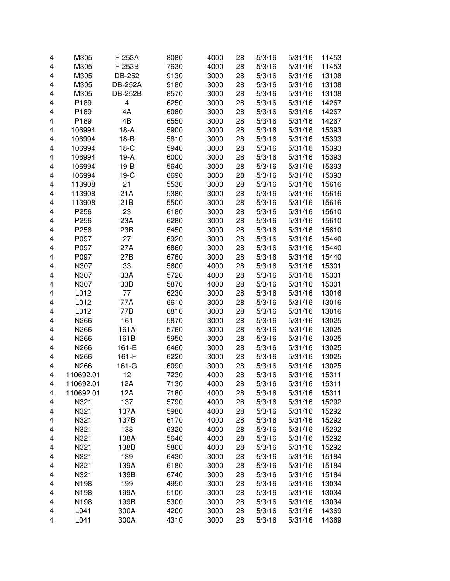| 4 | M305      | F-253A         | 8080 | 4000 | 28 | 5/3/16 | 5/31/16 | 11453 |
|---|-----------|----------------|------|------|----|--------|---------|-------|
| 4 | M305      | F-253B         | 7630 | 4000 | 28 | 5/3/16 | 5/31/16 | 11453 |
| 4 | M305      | DB-252         | 9130 | 3000 | 28 | 5/3/16 | 5/31/16 | 13108 |
| 4 | M305      | <b>DB-252A</b> | 9180 | 3000 | 28 | 5/3/16 | 5/31/16 | 13108 |
| 4 | M305      | <b>DB-252B</b> | 8570 | 3000 | 28 | 5/3/16 | 5/31/16 | 13108 |
| 4 | P189      | 4              | 6250 | 3000 | 28 | 5/3/16 | 5/31/16 | 14267 |
| 4 | P189      | 4A             | 6080 | 3000 | 28 | 5/3/16 | 5/31/16 | 14267 |
| 4 | P189      | 4B             | 6550 | 3000 | 28 | 5/3/16 | 5/31/16 | 14267 |
| 4 | 106994    | $18-A$         | 5900 | 3000 | 28 | 5/3/16 | 5/31/16 | 15393 |
| 4 | 106994    | $18-B$         | 5810 | 3000 | 28 | 5/3/16 | 5/31/16 | 15393 |
| 4 | 106994    | $18-C$         | 5940 | 3000 | 28 | 5/3/16 | 5/31/16 | 15393 |
| 4 | 106994    | $19-A$         | 6000 | 3000 | 28 | 5/3/16 | 5/31/16 | 15393 |
| 4 | 106994    | $19-B$         | 5640 | 3000 | 28 | 5/3/16 | 5/31/16 | 15393 |
| 4 | 106994    | $19-C$         | 6690 | 3000 | 28 | 5/3/16 | 5/31/16 | 15393 |
| 4 | 113908    | 21             | 5530 | 3000 | 28 | 5/3/16 | 5/31/16 | 15616 |
| 4 | 113908    | 21A            | 5380 | 3000 | 28 | 5/3/16 | 5/31/16 | 15616 |
| 4 | 113908    | 21B            | 5500 | 3000 | 28 | 5/3/16 | 5/31/16 | 15616 |
| 4 | P256      | 23             | 6180 | 3000 | 28 | 5/3/16 | 5/31/16 | 15610 |
| 4 | P256      | 23A            | 6280 | 3000 | 28 | 5/3/16 | 5/31/16 | 15610 |
| 4 | P256      | 23B            | 5450 | 3000 | 28 | 5/3/16 | 5/31/16 | 15610 |
| 4 | P097      | 27             | 6920 | 3000 | 28 | 5/3/16 | 5/31/16 | 15440 |
| 4 | P097      | 27A            | 6860 | 3000 | 28 | 5/3/16 | 5/31/16 | 15440 |
| 4 | P097      | 27B            | 6760 | 3000 | 28 | 5/3/16 | 5/31/16 | 15440 |
| 4 | N307      | 33             | 5600 | 4000 | 28 | 5/3/16 | 5/31/16 | 15301 |
| 4 | N307      | 33A            | 5720 | 4000 | 28 | 5/3/16 | 5/31/16 | 15301 |
| 4 | N307      | 33B            | 5870 | 4000 | 28 | 5/3/16 | 5/31/16 | 15301 |
| 4 | L012      | 77             | 6230 | 3000 | 28 | 5/3/16 | 5/31/16 | 13016 |
| 4 | L012      | 77A            | 6610 | 3000 | 28 | 5/3/16 | 5/31/16 | 13016 |
| 4 | L012      | 77B            | 6810 | 3000 | 28 | 5/3/16 | 5/31/16 | 13016 |
| 4 | N266      | 161            | 5870 | 3000 | 28 | 5/3/16 | 5/31/16 | 13025 |
| 4 | N266      | 161A           | 5760 | 3000 | 28 | 5/3/16 | 5/31/16 | 13025 |
| 4 | N266      | 161B           | 5950 | 3000 | 28 | 5/3/16 | 5/31/16 | 13025 |
| 4 | N266      | 161-E          | 6460 | 3000 | 28 | 5/3/16 | 5/31/16 | 13025 |
| 4 | N266      | $161-F$        | 6220 | 3000 | 28 | 5/3/16 | 5/31/16 | 13025 |
| 4 | N266      | $161-G$        | 6090 | 3000 | 28 | 5/3/16 | 5/31/16 | 13025 |
| 4 | 110692.01 | 12             | 7230 | 4000 | 28 | 5/3/16 | 5/31/16 | 15311 |
| 4 | 110692.01 | 12A            | 7130 | 4000 | 28 | 5/3/16 | 5/31/16 | 15311 |
| 4 | 110692.01 | 12A            | 7180 | 4000 | 28 | 5/3/16 | 5/31/16 | 15311 |
| 4 | N321      | 137            | 5790 | 4000 | 28 | 5/3/16 | 5/31/16 | 15292 |
| 4 | N321      | 137A           | 5980 | 4000 | 28 | 5/3/16 | 5/31/16 | 15292 |
| 4 | N321      | 137B           | 6170 | 4000 | 28 | 5/3/16 | 5/31/16 | 15292 |
| 4 | N321      | 138            | 6320 | 4000 | 28 | 5/3/16 | 5/31/16 | 15292 |
| 4 | N321      | 138A           | 5640 | 4000 | 28 | 5/3/16 | 5/31/16 | 15292 |
| 4 | N321      | 138B           | 5800 | 4000 | 28 | 5/3/16 | 5/31/16 | 15292 |
| 4 | N321      | 139            | 6430 | 3000 | 28 | 5/3/16 | 5/31/16 | 15184 |
| 4 | N321      | 139A           | 6180 | 3000 | 28 | 5/3/16 | 5/31/16 | 15184 |
| 4 | N321      | 139B           | 6740 | 3000 | 28 | 5/3/16 | 5/31/16 | 15184 |
| 4 | N198      | 199            | 4950 | 3000 | 28 | 5/3/16 | 5/31/16 | 13034 |
| 4 | N198      | 199A           | 5100 | 3000 | 28 | 5/3/16 | 5/31/16 | 13034 |
| 4 | N198      | 199B           | 5300 | 3000 | 28 | 5/3/16 | 5/31/16 | 13034 |
| 4 | L041      | 300A           | 4200 | 3000 | 28 | 5/3/16 | 5/31/16 | 14369 |
| 4 | L041      | 300A           | 4310 | 3000 | 28 | 5/3/16 | 5/31/16 | 14369 |
|   |           |                |      |      |    |        |         |       |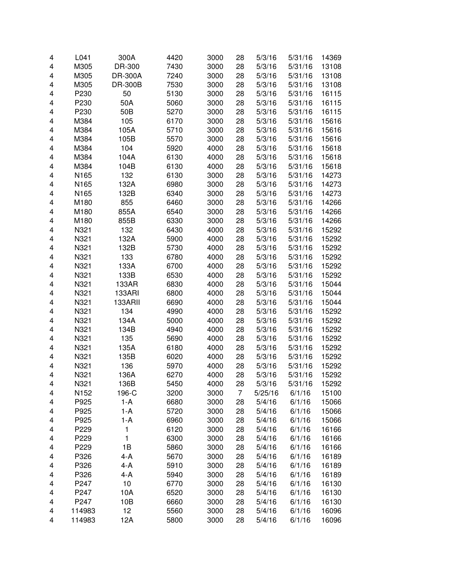| 4 | L041   | 300A            | 4420 | 3000 | 28 | 5/3/16  | 5/31/16 | 14369 |
|---|--------|-----------------|------|------|----|---------|---------|-------|
| 4 | M305   | DR-300          | 7430 | 3000 | 28 | 5/3/16  | 5/31/16 | 13108 |
| 4 | M305   | DR-300A         | 7240 | 3000 | 28 | 5/3/16  | 5/31/16 | 13108 |
| 4 | M305   | <b>DR-300B</b>  | 7530 | 3000 | 28 | 5/3/16  | 5/31/16 | 13108 |
| 4 | P230   | 50              | 5130 | 3000 | 28 | 5/3/16  | 5/31/16 | 16115 |
| 4 | P230   | 50A             | 5060 | 3000 | 28 | 5/3/16  | 5/31/16 | 16115 |
| 4 | P230   | 50 <sub>B</sub> | 5270 | 3000 | 28 | 5/3/16  | 5/31/16 | 16115 |
| 4 | M384   | 105             | 6170 | 3000 | 28 | 5/3/16  | 5/31/16 | 15616 |
| 4 | M384   | 105A            | 5710 | 3000 | 28 | 5/3/16  | 5/31/16 | 15616 |
| 4 | M384   | 105B            | 5570 | 3000 | 28 | 5/3/16  | 5/31/16 | 15616 |
| 4 | M384   | 104             | 5920 | 4000 | 28 | 5/3/16  | 5/31/16 | 15618 |
| 4 | M384   | 104A            | 6130 | 4000 | 28 | 5/3/16  | 5/31/16 | 15618 |
| 4 | M384   | 104B            | 6130 | 4000 | 28 | 5/3/16  | 5/31/16 | 15618 |
| 4 | N165   | 132             | 6130 | 3000 | 28 | 5/3/16  | 5/31/16 | 14273 |
| 4 | N165   | 132A            | 6980 | 3000 | 28 | 5/3/16  | 5/31/16 | 14273 |
| 4 | N165   | 132B            | 6340 | 3000 | 28 | 5/3/16  | 5/31/16 | 14273 |
| 4 | M180   | 855             | 6460 | 3000 | 28 | 5/3/16  | 5/31/16 | 14266 |
| 4 | M180   | 855A            | 6540 | 3000 | 28 | 5/3/16  | 5/31/16 | 14266 |
| 4 | M180   | 855B            | 6330 | 3000 | 28 | 5/3/16  | 5/31/16 | 14266 |
| 4 | N321   | 132             | 6430 | 4000 | 28 | 5/3/16  | 5/31/16 | 15292 |
| 4 | N321   | 132A            | 5900 | 4000 | 28 | 5/3/16  | 5/31/16 | 15292 |
| 4 | N321   | 132B            | 5730 | 4000 | 28 | 5/3/16  | 5/31/16 | 15292 |
| 4 | N321   | 133             | 6780 | 4000 | 28 | 5/3/16  | 5/31/16 | 15292 |
| 4 | N321   | 133A            | 6700 | 4000 | 28 | 5/3/16  | 5/31/16 | 15292 |
| 4 | N321   | 133B            | 6530 | 4000 | 28 | 5/3/16  | 5/31/16 | 15292 |
| 4 | N321   | 133AR           | 6830 | 4000 | 28 | 5/3/16  | 5/31/16 | 15044 |
| 4 | N321   | 133ARI          | 6800 | 4000 | 28 | 5/3/16  | 5/31/16 | 15044 |
| 4 | N321   | 133ARII         | 6690 | 4000 | 28 | 5/3/16  | 5/31/16 | 15044 |
| 4 | N321   | 134             | 4990 | 4000 | 28 | 5/3/16  | 5/31/16 | 15292 |
| 4 | N321   | 134A            | 5000 | 4000 | 28 | 5/3/16  | 5/31/16 | 15292 |
| 4 | N321   | 134B            | 4940 | 4000 | 28 | 5/3/16  | 5/31/16 | 15292 |
| 4 | N321   | 135             | 5690 | 4000 | 28 | 5/3/16  | 5/31/16 | 15292 |
| 4 | N321   | 135A            | 6180 | 4000 | 28 | 5/3/16  | 5/31/16 | 15292 |
| 4 | N321   | 135B            | 6020 | 4000 | 28 | 5/3/16  | 5/31/16 | 15292 |
| 4 | N321   | 136             | 5970 | 4000 | 28 | 5/3/16  | 5/31/16 | 15292 |
| 4 | N321   | 136A            | 6270 | 4000 | 28 | 5/3/16  | 5/31/16 | 15292 |
| 4 | N321   | 136B            | 5450 | 4000 | 28 | 5/3/16  | 5/31/16 | 15292 |
| 4 | N152   | 196-C           | 3200 | 3000 | 7  | 5/25/16 | 6/1/16  | 15100 |
| 4 | P925   | 1-A             | 6680 | 3000 | 28 | 5/4/16  | 6/1/16  | 15066 |
| 4 | P925   | 1-A             | 5720 | 3000 | 28 | 5/4/16  | 6/1/16  | 15066 |
| 4 | P925   | 1-A             | 6960 | 3000 | 28 | 5/4/16  | 6/1/16  | 15066 |
| 4 | P229   | 1               | 6120 | 3000 | 28 | 5/4/16  | 6/1/16  | 16166 |
| 4 | P229   | 1               | 6300 | 3000 | 28 | 5/4/16  | 6/1/16  | 16166 |
| 4 | P229   | 1B              | 5860 | 3000 | 28 | 5/4/16  | 6/1/16  | 16166 |
| 4 | P326   | $4-A$           | 5670 | 3000 | 28 | 5/4/16  | 6/1/16  | 16189 |
| 4 | P326   | $4-A$           | 5910 | 3000 | 28 | 5/4/16  | 6/1/16  | 16189 |
| 4 | P326   | 4-A             | 5940 | 3000 | 28 | 5/4/16  | 6/1/16  | 16189 |
| 4 | P247   | $10$            | 6770 | 3000 | 28 | 5/4/16  | 6/1/16  | 16130 |
| 4 | P247   | 10A             | 6520 | 3000 | 28 | 5/4/16  | 6/1/16  | 16130 |
| 4 | P247   | 10B             | 6660 | 3000 | 28 | 5/4/16  | 6/1/16  | 16130 |
| 4 | 114983 | 12              | 5560 | 3000 | 28 | 5/4/16  | 6/1/16  | 16096 |
| 4 | 114983 | 12A             | 5800 | 3000 | 28 | 5/4/16  | 6/1/16  | 16096 |
|   |        |                 |      |      |    |         |         |       |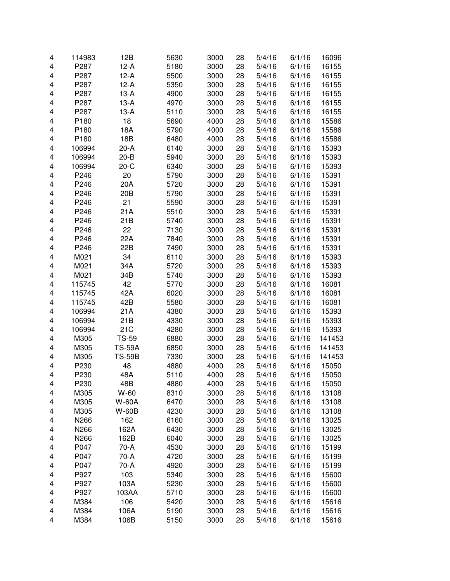| 4 | 114983           | 12B           | 5630 | 3000 | 28 | 5/4/16 | 6/1/16 | 16096  |
|---|------------------|---------------|------|------|----|--------|--------|--------|
| 4 | P287             | $12-A$        | 5180 | 3000 | 28 | 5/4/16 | 6/1/16 | 16155  |
| 4 | P287             | $12-A$        | 5500 | 3000 | 28 | 5/4/16 | 6/1/16 | 16155  |
| 4 | P287             | $12-A$        | 5350 | 3000 | 28 | 5/4/16 | 6/1/16 | 16155  |
| 4 | P287             | $13-A$        | 4900 | 3000 | 28 | 5/4/16 | 6/1/16 | 16155  |
| 4 | P287             | $13-A$        | 4970 | 3000 | 28 | 5/4/16 | 6/1/16 | 16155  |
| 4 | P287             | $13-A$        | 5110 | 3000 | 28 | 5/4/16 | 6/1/16 | 16155  |
| 4 | P180             | 18            | 5690 | 4000 | 28 | 5/4/16 | 6/1/16 | 15586  |
| 4 | P180             | 18A           | 5790 | 4000 | 28 | 5/4/16 | 6/1/16 | 15586  |
| 4 | P <sub>180</sub> | 18B           | 6480 | 4000 | 28 | 5/4/16 | 6/1/16 | 15586  |
| 4 | 106994           | $20-A$        | 6140 | 3000 | 28 | 5/4/16 | 6/1/16 | 15393  |
| 4 | 106994           | $20 - B$      | 5940 | 3000 | 28 | 5/4/16 | 6/1/16 | 15393  |
| 4 | 106994           | $20-C$        | 6340 | 3000 | 28 | 5/4/16 | 6/1/16 | 15393  |
| 4 | P246             | 20            | 5790 | 3000 | 28 | 5/4/16 | 6/1/16 | 15391  |
| 4 | P246             | 20A           | 5720 | 3000 | 28 | 5/4/16 | 6/1/16 | 15391  |
| 4 | P246             | 20B           | 5790 | 3000 | 28 | 5/4/16 | 6/1/16 | 15391  |
| 4 | P246             | 21            | 5590 | 3000 | 28 | 5/4/16 | 6/1/16 | 15391  |
| 4 | P246             | 21A           | 5510 | 3000 | 28 | 5/4/16 | 6/1/16 | 15391  |
| 4 | P246             | 21B           | 5740 | 3000 | 28 | 5/4/16 | 6/1/16 | 15391  |
| 4 | P246             | 22            | 7130 | 3000 | 28 | 5/4/16 | 6/1/16 | 15391  |
| 4 | P246             | 22A           | 7840 | 3000 | 28 | 5/4/16 | 6/1/16 | 15391  |
| 4 | P246             | 22B           | 7490 | 3000 | 28 | 5/4/16 | 6/1/16 | 15391  |
| 4 | M021             | 34            | 6110 | 3000 | 28 | 5/4/16 | 6/1/16 | 15393  |
| 4 | M021             | 34A           | 5720 | 3000 | 28 | 5/4/16 | 6/1/16 | 15393  |
| 4 | M021             | 34B           | 5740 | 3000 | 28 | 5/4/16 | 6/1/16 | 15393  |
| 4 | 115745           | 42            | 5770 | 3000 | 28 | 5/4/16 | 6/1/16 | 16081  |
| 4 | 115745           | 42A           | 6020 | 3000 | 28 | 5/4/16 | 6/1/16 | 16081  |
| 4 | 115745           | 42B           | 5580 | 3000 | 28 | 5/4/16 | 6/1/16 | 16081  |
| 4 | 106994           | 21A           | 4380 | 3000 | 28 | 5/4/16 | 6/1/16 | 15393  |
| 4 | 106994           | 21B           | 4330 | 3000 | 28 | 5/4/16 | 6/1/16 | 15393  |
| 4 | 106994           | 21C           | 4280 | 3000 | 28 | 5/4/16 | 6/1/16 | 15393  |
| 4 | M305             | <b>TS-59</b>  | 6880 | 3000 | 28 | 5/4/16 | 6/1/16 | 141453 |
| 4 | M305             | <b>TS-59A</b> | 6850 | 3000 | 28 | 5/4/16 | 6/1/16 | 141453 |
| 4 | M305             | <b>TS-59B</b> | 7330 | 3000 | 28 | 5/4/16 | 6/1/16 | 141453 |
| 4 | P230             | 48            | 4880 | 4000 | 28 | 5/4/16 | 6/1/16 | 15050  |
| 4 | P230             | 48A           | 5110 | 4000 | 28 | 5/4/16 | 6/1/16 | 15050  |
| 4 | P230             | 48B           | 4880 | 4000 | 28 | 5/4/16 | 6/1/16 | 15050  |
| 4 | M305             | W-60          | 8310 | 3000 | 28 | 5/4/16 | 6/1/16 | 13108  |
| 4 | M305             | <b>W-60A</b>  | 6470 | 3000 | 28 | 5/4/16 | 6/1/16 | 13108  |
| 4 | M305             | <b>W-60B</b>  | 4230 | 3000 | 28 | 5/4/16 | 6/1/16 | 13108  |
| 4 | N266             | 162           | 6160 | 3000 | 28 | 5/4/16 | 6/1/16 | 13025  |
| 4 | N266             | 162A          | 6430 | 3000 | 28 | 5/4/16 | 6/1/16 | 13025  |
| 4 | N266             | 162B          | 6040 | 3000 | 28 | 5/4/16 | 6/1/16 | 13025  |
| 4 | P047             | 70-A          | 4530 | 3000 | 28 | 5/4/16 | 6/1/16 | 15199  |
| 4 | P047             | 70-A          | 4720 | 3000 | 28 | 5/4/16 | 6/1/16 | 15199  |
| 4 | P047             | 70-A          | 4920 | 3000 | 28 | 5/4/16 | 6/1/16 | 15199  |
| 4 | P927             | 103           | 5340 | 3000 | 28 | 5/4/16 | 6/1/16 | 15600  |
| 4 | P927             | 103A          | 5230 | 3000 | 28 | 5/4/16 | 6/1/16 | 15600  |
| 4 | P927             | 103AA         | 5710 | 3000 | 28 | 5/4/16 | 6/1/16 | 15600  |
| 4 | M384             | 106           | 5420 | 3000 | 28 | 5/4/16 | 6/1/16 | 15616  |
| 4 | M384             | 106A          | 5190 | 3000 | 28 | 5/4/16 | 6/1/16 | 15616  |
| 4 | M384             | 106B          | 5150 | 3000 | 28 | 5/4/16 | 6/1/16 | 15616  |
|   |                  |               |      |      |    |        |        |        |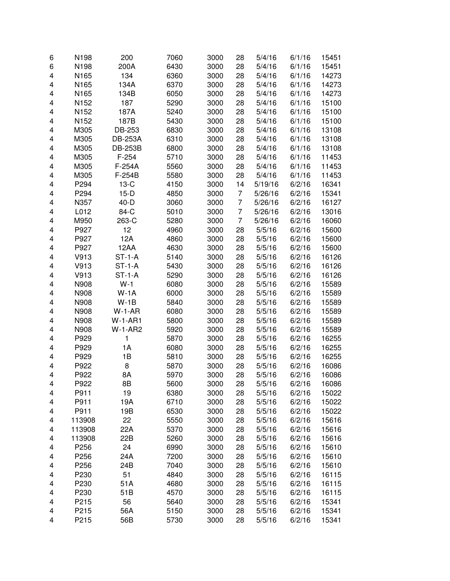| 6 | N198   | 200            | 7060 | 3000 | 28             | 5/4/16  | 6/1/16           | 15451          |
|---|--------|----------------|------|------|----------------|---------|------------------|----------------|
| 6 | N198   | 200A           | 6430 | 3000 | 28             | 5/4/16  | 6/1/16           | 15451          |
| 4 | N165   | 134            | 6360 | 3000 | 28             | 5/4/16  | 6/1/16           | 14273          |
| 4 | N165   | 134A           | 6370 | 3000 | 28             | 5/4/16  | 6/1/16           | 14273          |
| 4 | N165   | 134B           | 6050 | 3000 | 28             | 5/4/16  | 6/1/16           | 14273          |
| 4 | N152   | 187            | 5290 | 3000 | 28             | 5/4/16  | 6/1/16           | 15100          |
| 4 | N152   | 187A           | 5240 | 3000 | 28             | 5/4/16  | 6/1/16           | 15100          |
| 4 | N152   | 187B           | 5430 | 3000 | 28             | 5/4/16  | 6/1/16           | 15100          |
| 4 | M305   | DB-253         | 6830 | 3000 | 28             | 5/4/16  | 6/1/16           | 13108          |
| 4 | M305   | <b>DB-253A</b> | 6310 | 3000 | 28             | 5/4/16  | 6/1/16           | 13108          |
| 4 | M305   | <b>DB-253B</b> | 6800 | 3000 | 28             | 5/4/16  | 6/1/16           | 13108          |
| 4 | M305   | $F-254$        | 5710 | 3000 | 28             | 5/4/16  | 6/1/16           | 11453          |
| 4 | M305   | F-254A         | 5560 | 3000 | 28             | 5/4/16  | 6/1/16           | 11453          |
| 4 | M305   | F-254B         | 5580 | 3000 | 28             | 5/4/16  | 6/1/16           | 11453          |
| 4 | P294   | $13-C$         | 4150 | 3000 | 14             | 5/19/16 | 6/2/16           | 16341          |
| 4 | P294   | $15-D$         | 4850 | 3000 | 7              | 5/26/16 | 6/2/16           | 15341          |
| 4 | N357   | $40-D$         | 3060 | 3000 | 7              | 5/26/16 | 6/2/16           | 16127          |
| 4 | L012   | 84-C           | 5010 | 3000 | 7              | 5/26/16 | 6/2/16           | 13016          |
| 4 | M950   | 263-C          | 5280 | 3000 | $\overline{7}$ | 5/26/16 | 6/2/16           | 16060          |
| 4 | P927   | 12             | 4960 | 3000 | 28             | 5/5/16  | 6/2/16           | 15600          |
| 4 | P927   | 12A            | 4860 | 3000 | 28             | 5/5/16  | 6/2/16           | 15600          |
| 4 | P927   | 12AA           | 4630 | 3000 | 28             | 5/5/16  | 6/2/16           | 15600          |
| 4 | V913   | $ST-1-A$       | 5140 | 3000 | 28             | 5/5/16  | 6/2/16           | 16126          |
| 4 | V913   | $ST-1-A$       | 5430 | 3000 | 28             | 5/5/16  | 6/2/16           | 16126          |
| 4 | V913   | $ST-1-A$       | 5290 | 3000 | 28             | 5/5/16  | 6/2/16           | 16126          |
| 4 | N908   | $W-1$          | 6080 | 3000 | 28             | 5/5/16  | 6/2/16           | 15589          |
| 4 | N908   | $W-1A$         | 6000 | 3000 | 28             | 5/5/16  | 6/2/16           | 15589          |
| 4 | N908   | $W-1B$         | 5840 | 3000 | 28             | 5/5/16  | 6/2/16           | 15589          |
| 4 | N908   | $W-1-AR$       | 6080 | 3000 | 28             | 5/5/16  | 6/2/16           | 15589          |
| 4 | N908   | <b>W-1-AR1</b> | 5800 | 3000 | 28             | 5/5/16  | 6/2/16           | 15589          |
| 4 | N908   | $W-1-AR2$      | 5920 | 3000 | 28             | 5/5/16  | 6/2/16           | 15589          |
| 4 | P929   | 1              | 5870 | 3000 |                |         |                  |                |
| 4 | P929   | 1A             |      | 3000 | 28<br>28       | 5/5/16  | 6/2/16<br>6/2/16 | 16255<br>16255 |
| 4 |        |                | 6080 |      |                | 5/5/16  |                  |                |
| 4 | P929   | 1B             | 5810 | 3000 | 28             | 5/5/16  | 6/2/16           | 16255          |
|   | P922   | 8              | 5870 | 3000 | 28             | 5/5/16  | 6/2/16           | 16086          |
| 4 | P922   | 8A             | 5970 | 3000 | 28             | 5/5/16  | 6/2/16           | 16086          |
| 4 | P922   | 8Β             | 5600 | 3000 | 28             | 5/5/16  | 6/2/16           | 16086          |
| 4 | P911   | 19             | 6380 | 3000 | 28             | 5/5/16  | 6/2/16           | 15022          |
| 4 | P911   | 19A            | 6710 | 3000 | 28             | 5/5/16  | 6/2/16           | 15022          |
| 4 | P911   | 19B            | 6530 | 3000 | 28             | 5/5/16  | 6/2/16           | 15022          |
| 4 | 113908 | 22             | 5550 | 3000 | 28             | 5/5/16  | 6/2/16           | 15616          |
| 4 | 113908 | 22A            | 5370 | 3000 | 28             | 5/5/16  | 6/2/16           | 15616          |
| 4 | 113908 | 22B            | 5260 | 3000 | 28             | 5/5/16  | 6/2/16           | 15616          |
| 4 | P256   | 24             | 6990 | 3000 | 28             | 5/5/16  | 6/2/16           | 15610          |
| 4 | P256   | 24A            | 7200 | 3000 | 28             | 5/5/16  | 6/2/16           | 15610          |
| 4 | P256   | 24B            | 7040 | 3000 | 28             | 5/5/16  | 6/2/16           | 15610          |
| 4 | P230   | 51             | 4840 | 3000 | 28             | 5/5/16  | 6/2/16           | 16115          |
| 4 | P230   | 51A            | 4680 | 3000 | 28             | 5/5/16  | 6/2/16           | 16115          |
| 4 | P230   | 51B            | 4570 | 3000 | 28             | 5/5/16  | 6/2/16           | 16115          |
| 4 | P215   | 56             | 5640 | 3000 | 28             | 5/5/16  | 6/2/16           | 15341          |
| 4 | P215   | 56A            | 5150 | 3000 | 28             | 5/5/16  | 6/2/16           | 15341          |
| 4 | P215   | 56B            | 5730 | 3000 | 28             | 5/5/16  | 6/2/16           | 15341          |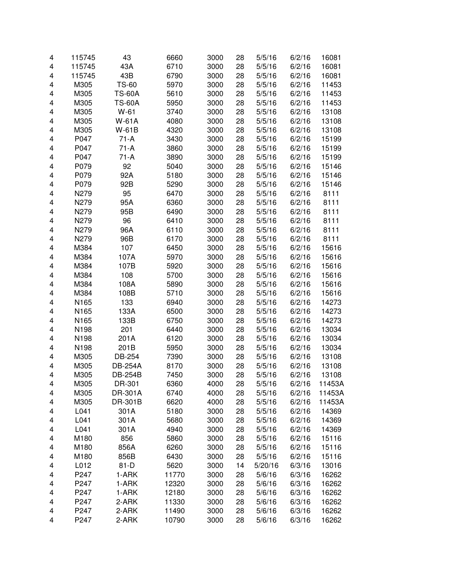| 4 | 115745 | 43             | 6660  | 3000 | 28 | 5/5/16  | 6/2/16 | 16081  |
|---|--------|----------------|-------|------|----|---------|--------|--------|
| 4 | 115745 | 43A            | 6710  | 3000 | 28 | 5/5/16  | 6/2/16 | 16081  |
| 4 | 115745 | 43B            | 6790  | 3000 | 28 | 5/5/16  | 6/2/16 | 16081  |
| 4 | M305   | <b>TS-60</b>   | 5970  | 3000 | 28 | 5/5/16  | 6/2/16 | 11453  |
| 4 | M305   | <b>TS-60A</b>  | 5610  | 3000 | 28 | 5/5/16  | 6/2/16 | 11453  |
| 4 | M305   | <b>TS-60A</b>  | 5950  | 3000 | 28 | 5/5/16  | 6/2/16 | 11453  |
| 4 | M305   | $W-61$         | 3740  | 3000 | 28 | 5/5/16  | 6/2/16 | 13108  |
| 4 | M305   | <b>W-61A</b>   | 4080  | 3000 | 28 | 5/5/16  | 6/2/16 | 13108  |
| 4 | M305   | W-61B          | 4320  | 3000 | 28 | 5/5/16  | 6/2/16 | 13108  |
| 4 | P047   | $71-A$         | 3430  | 3000 | 28 | 5/5/16  | 6/2/16 | 15199  |
| 4 | P047   | $71-A$         | 3860  | 3000 | 28 | 5/5/16  | 6/2/16 | 15199  |
| 4 | P047   | $71-A$         | 3890  | 3000 | 28 | 5/5/16  | 6/2/16 | 15199  |
| 4 | P079   | 92             | 5040  | 3000 | 28 | 5/5/16  | 6/2/16 | 15146  |
| 4 | P079   | 92A            | 5180  | 3000 | 28 | 5/5/16  | 6/2/16 | 15146  |
| 4 | P079   | 92B            | 5290  | 3000 | 28 | 5/5/16  | 6/2/16 | 15146  |
| 4 | N279   | 95             | 6470  | 3000 | 28 | 5/5/16  | 6/2/16 | 8111   |
| 4 | N279   | 95A            | 6360  | 3000 | 28 | 5/5/16  | 6/2/16 | 8111   |
| 4 | N279   | 95B            | 6490  | 3000 | 28 | 5/5/16  | 6/2/16 | 8111   |
| 4 | N279   | 96             | 6410  | 3000 | 28 | 5/5/16  | 6/2/16 | 8111   |
| 4 | N279   | 96A            | 6110  | 3000 | 28 | 5/5/16  | 6/2/16 | 8111   |
| 4 | N279   | 96B            | 6170  | 3000 | 28 | 5/5/16  | 6/2/16 | 8111   |
| 4 | M384   | 107            | 6450  | 3000 | 28 | 5/5/16  | 6/2/16 | 15616  |
| 4 | M384   | 107A           | 5970  | 3000 | 28 | 5/5/16  | 6/2/16 | 15616  |
| 4 | M384   | 107B           | 5920  | 3000 | 28 | 5/5/16  | 6/2/16 | 15616  |
| 4 | M384   | 108            | 5700  | 3000 | 28 | 5/5/16  | 6/2/16 | 15616  |
| 4 | M384   | 108A           | 5890  | 3000 | 28 | 5/5/16  | 6/2/16 | 15616  |
| 4 | M384   | 108B           | 5710  | 3000 | 28 | 5/5/16  | 6/2/16 | 15616  |
| 4 | N165   | 133            | 6940  | 3000 | 28 | 5/5/16  | 6/2/16 | 14273  |
| 4 | N165   | 133A           | 6500  | 3000 | 28 | 5/5/16  | 6/2/16 | 14273  |
| 4 | N165   | 133B           | 6750  | 3000 | 28 | 5/5/16  | 6/2/16 | 14273  |
| 4 | N198   | 201            | 6440  | 3000 | 28 | 5/5/16  | 6/2/16 | 13034  |
| 4 | N198   | 201A           | 6120  | 3000 | 28 | 5/5/16  | 6/2/16 | 13034  |
| 4 | N198   | 201B           | 5950  | 3000 | 28 | 5/5/16  | 6/2/16 | 13034  |
| 4 | M305   | DB-254         | 7390  | 3000 | 28 | 5/5/16  | 6/2/16 | 13108  |
| 4 | M305   | <b>DB-254A</b> | 8170  | 3000 | 28 | 5/5/16  | 6/2/16 | 13108  |
| 4 | M305   | <b>DB-254B</b> | 7450  | 3000 | 28 | 5/5/16  | 6/2/16 | 13108  |
| 4 | M305   | DR-301         | 6360  | 4000 | 28 | 5/5/16  | 6/2/16 | 11453A |
| 4 | M305   | DR-301A        | 6740  | 4000 | 28 | 5/5/16  | 6/2/16 | 11453A |
| 4 | M305   | DR-301B        | 6620  | 4000 | 28 | 5/5/16  | 6/2/16 | 11453A |
| 4 | L041   | 301A           | 5180  | 3000 | 28 | 5/5/16  | 6/2/16 | 14369  |
| 4 | L041   | 301A           | 5680  | 3000 | 28 | 5/5/16  | 6/2/16 | 14369  |
| 4 | L041   | 301A           | 4940  | 3000 | 28 | 5/5/16  | 6/2/16 | 14369  |
| 4 | M180   | 856            | 5860  | 3000 | 28 | 5/5/16  | 6/2/16 | 15116  |
| 4 | M180   | 856A           | 6260  | 3000 | 28 | 5/5/16  | 6/2/16 | 15116  |
| 4 | M180   | 856B           | 6430  | 3000 | 28 | 5/5/16  | 6/2/16 | 15116  |
| 4 | L012   | $81-D$         | 5620  | 3000 | 14 | 5/20/16 | 6/3/16 | 13016  |
| 4 | P247   | 1-ARK          | 11770 | 3000 | 28 | 5/6/16  | 6/3/16 | 16262  |
| 4 | P247   | 1-ARK          | 12320 | 3000 | 28 | 5/6/16  | 6/3/16 | 16262  |
| 4 | P247   | 1-ARK          | 12180 | 3000 | 28 | 5/6/16  | 6/3/16 | 16262  |
| 4 | P247   | 2-ARK          | 11330 | 3000 | 28 | 5/6/16  | 6/3/16 | 16262  |
| 4 | P247   | 2-ARK          | 11490 | 3000 | 28 | 5/6/16  | 6/3/16 | 16262  |
| 4 | P247   | 2-ARK          | 10790 | 3000 | 28 | 5/6/16  | 6/3/16 | 16262  |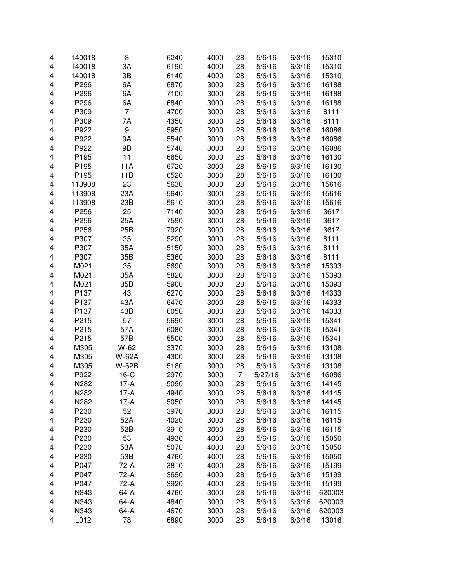| 4 | 140018 | 3              | 6240 | 4000 | 28             | 5/6/16  | 6/3/16 | 15310  |
|---|--------|----------------|------|------|----------------|---------|--------|--------|
| 4 | 140018 | ЗA             | 6190 | 4000 | 28             | 5/6/16  | 6/3/16 | 15310  |
| 4 | 140018 | 3B             | 6140 | 4000 | 28             | 5/6/16  | 6/3/16 | 15310  |
| 4 | P296   | 6A             | 6870 | 3000 | 28             | 5/6/16  | 6/3/16 | 16188  |
| 4 | P296   | 6A             | 7100 | 3000 | 28             | 5/6/16  | 6/3/16 | 16188  |
| 4 | P296   | 6A             | 6840 | 3000 | 28             | 5/6/16  | 6/3/16 | 16188  |
| 4 | P309   | $\overline{7}$ | 4700 | 3000 | 28             | 5/6/16  | 6/3/16 | 8111   |
| 4 | P309   | 7A             | 4350 | 3000 | 28             | 5/6/16  | 6/3/16 | 8111   |
| 4 | P922   | 9              | 5950 | 3000 | 28             | 5/6/16  | 6/3/16 | 16086  |
| 4 | P922   | 9A             | 5540 | 3000 | 28             | 5/6/16  | 6/3/16 | 16086  |
| 4 | P922   | 9B             | 5740 | 3000 | 28             | 5/6/16  | 6/3/16 | 16086  |
| 4 | P195   | 11             | 6650 | 3000 | 28             | 5/6/16  | 6/3/16 | 16130  |
| 4 | P195   | 11A            | 6720 | 3000 | 28             | 5/6/16  | 6/3/16 | 16130  |
| 4 | P195   | 11B            | 6520 | 3000 | 28             | 5/6/16  | 6/3/16 | 16130  |
| 4 | 113908 | 23             | 5630 | 3000 | 28             | 5/6/16  | 6/3/16 | 15616  |
| 4 | 113908 | 23A            | 5640 | 3000 | 28             | 5/6/16  | 6/3/16 | 15616  |
| 4 | 113908 | 23B            | 5610 | 3000 | 28             | 5/6/16  | 6/3/16 | 15616  |
| 4 | P256   | 25             | 7140 | 3000 | 28             | 5/6/16  | 6/3/16 | 3617   |
| 4 | P256   | 25A            | 7590 | 3000 | 28             | 5/6/16  | 6/3/16 | 3617   |
| 4 | P256   | 25B            | 7920 | 3000 | 28             | 5/6/16  | 6/3/16 | 3617   |
| 4 | P307   | 35             | 5290 | 3000 | 28             | 5/6/16  | 6/3/16 | 8111   |
| 4 | P307   | 35A            | 5150 | 3000 | 28             | 5/6/16  | 6/3/16 | 8111   |
| 4 | P307   | 35B            | 5360 | 3000 | 28             | 5/6/16  | 6/3/16 | 8111   |
| 4 | M021   | 35             | 5690 | 3000 | 28             | 5/6/16  | 6/3/16 | 15393  |
| 4 | M021   | 35A            | 5820 | 3000 | 28             | 5/6/16  | 6/3/16 | 15393  |
| 4 | M021   | 35B            | 5900 | 3000 | 28             | 5/6/16  | 6/3/16 | 15393  |
| 4 | P137   | 43             | 6270 | 3000 | 28             | 5/6/16  | 6/3/16 | 14333  |
| 4 | P137   | 43A            | 6470 | 3000 | 28             | 5/6/16  | 6/3/16 | 14333  |
| 4 | P137   | 43B            | 6050 | 3000 | 28             | 5/6/16  | 6/3/16 | 14333  |
| 4 | P215   | 57             | 5690 | 3000 | 28             | 5/6/16  | 6/3/16 | 15341  |
| 4 | P215   | 57A            | 6080 | 3000 | 28             | 5/6/16  | 6/3/16 | 15341  |
| 4 | P215   | 57B            | 5500 | 3000 | 28             | 5/6/16  | 6/3/16 | 15341  |
| 4 | M305   | W-62           | 3370 | 3000 | 28             | 5/6/16  | 6/3/16 | 13108  |
| 4 | M305   | W-62A          | 4300 | 3000 | 28             | 5/6/16  | 6/3/16 | 13108  |
| 4 | M305   | W-62B          | 5180 | 3000 | 28             | 5/6/16  | 6/3/16 | 13108  |
| 4 | P922   | $16-C$         | 2970 | 3000 | $\overline{7}$ | 5/27/16 | 6/3/16 | 16086  |
| 4 | N282   | 17-A           | 5090 | 3000 | 28             | 5/6/16  | 6/3/16 | 14145  |
| 4 | N282   | $17-A$         | 4940 | 3000 | 28             | 5/6/16  | 6/3/16 | 14145  |
| 4 | N282   | $17-A$         | 5050 | 3000 | 28             | 5/6/16  | 6/3/16 | 14145  |
| 4 | P230   | 52             | 3970 | 3000 | 28             | 5/6/16  | 6/3/16 | 16115  |
| 4 | P230   | 52A            | 4020 | 3000 | 28             | 5/6/16  | 6/3/16 | 16115  |
| 4 | P230   | 52B            | 3910 | 3000 | 28             | 5/6/16  | 6/3/16 | 16115  |
| 4 | P230   | 53             | 4930 | 4000 | 28             | 5/6/16  | 6/3/16 | 15050  |
| 4 | P230   | 53A            | 5070 | 4000 | 28             | 5/6/16  | 6/3/16 | 15050  |
| 4 | P230   | 53B            | 4760 | 4000 | 28             | 5/6/16  | 6/3/16 | 15050  |
| 4 | P047   | 72-A           | 3810 | 4000 | 28             | 5/6/16  | 6/3/16 | 15199  |
| 4 | P047   | 72-A           | 3690 | 4000 | 28             | 5/6/16  | 6/3/16 | 15199  |
| 4 | P047   | 72-A           | 3920 | 4000 | 28             | 5/6/16  | 6/3/16 | 15199  |
| 4 | N343   | 64-A           | 4760 | 3000 | 28             | 5/6/16  | 6/3/16 | 620003 |
| 4 | N343   | 64-A           | 4840 | 3000 | 28             | 5/6/16  | 6/3/16 | 620003 |
| 4 | N343   | 64-A           | 4670 | 3000 | 28             | 5/6/16  | 6/3/16 | 620003 |
| 4 | L012   | 78             | 6890 | 3000 | 28             | 5/6/16  | 6/3/16 | 13016  |